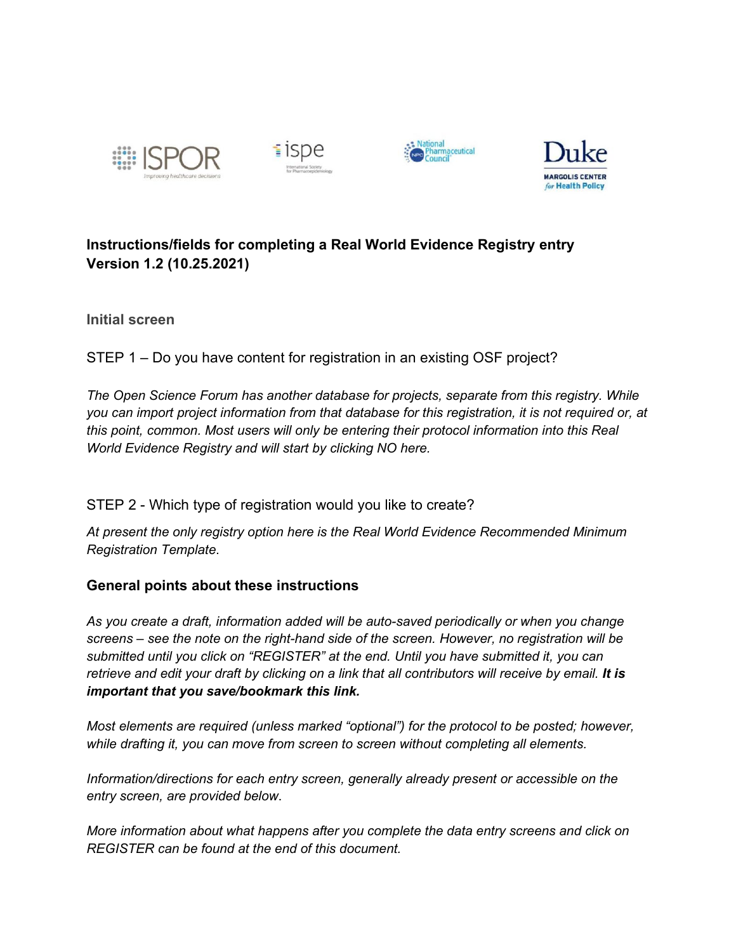







# **Instructions/fields for completing a Real World Evidence Registry entry Version 1.2 (10.25.2021)**

**Initial screen**

STEP 1 – Do you have content for registration in an existing OSF project?

*The Open Science Forum has another database for projects, separate from this registry. While you can import project information from that database for this registration, it is not required or, at this point, common. Most users will only be entering their protocol information into this Real World Evidence Registry and will start by clicking NO here.*

STEP 2 - Which type of registration would you like to create?

*At present the only registry option here is the Real World Evidence Recommended Minimum Registration Template*.

# **General points about these instructions**

*As you create a draft, information added will be auto-saved periodically or when you change screens – see the note on the right-hand side of the screen. However, no registration will be submitted until you click on "REGISTER" at the end. Until you have submitted it, you can retrieve and edit your draft by clicking on a link that all contributors will receive by email. It is important that you save/bookmark this link.*

*Most elements are required (unless marked "optional") for the protocol to be posted; however, while drafting it, you can move from screen to screen without completing all elements.*

*Information/directions for each entry screen, generally already present or accessible on the entry screen, are provided below*.

*More information about what happens after you complete the data entry screens and click on REGISTER can be found at the end of this document.*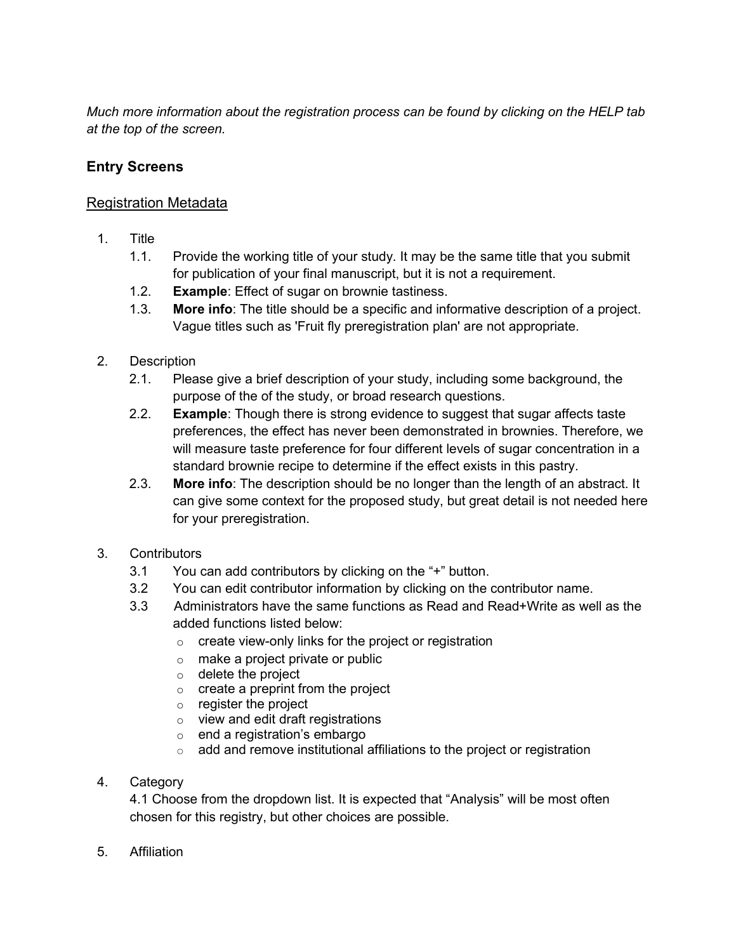*Much more information about the registration process can be found by clicking on the HELP tab at the top of the screen.*

# **Entry Screens**

## Registration Metadata

- 1. Title
	- 1.1. Provide the working title of your study. It may be the same title that you submit for publication of your final manuscript, but it is not a requirement.
	- 1.2. **Example**: Effect of sugar on brownie tastiness.
	- 1.3. **More info**: The title should be a specific and informative description of a project. Vague titles such as 'Fruit fly preregistration plan' are not appropriate.
- 2. Description
	- 2.1. Please give a brief description of your study, including some background, the purpose of the of the study, or broad research questions.
	- 2.2. **Example**: Though there is strong evidence to suggest that sugar affects taste preferences, the effect has never been demonstrated in brownies. Therefore, we will measure taste preference for four different levels of sugar concentration in a standard brownie recipe to determine if the effect exists in this pastry.
	- 2.3. **More info**: The description should be no longer than the length of an abstract. It can give some context for the proposed study, but great detail is not needed here for your preregistration.

## 3. Contributors

- 3.1 You can add contributors by clicking on the "+" button.
- 3.2 You can edit contributor information by clicking on the contributor name.
- 3.3 Administrators have the same functions as Read and Read+Write as well as the added functions listed below:
	- o create view-only links for the project or registration
	- $\circ$  make a project private or public
	- $\circ$  delete the project
	- $\circ$  create a preprint from the project
	- $\circ$  register the project
	- $\circ$  view and edit draft registrations
	- o end a registration's embargo
	- $\circ$  add and remove institutional affiliations to the project or registration
- 4. Category

4.1 Choose from the dropdown list. It is expected that "Analysis" will be most often chosen for this registry, but other choices are possible.

5. Affiliation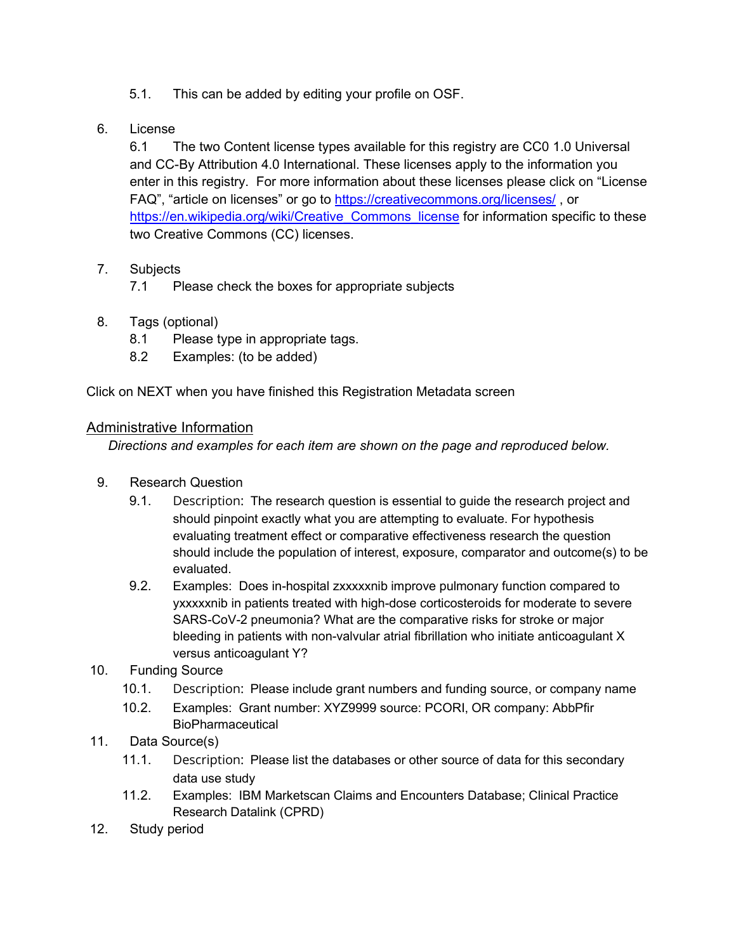- 5.1. This can be added by editing your profile on OSF.
- 6. License

6.1 The two Content license types available for this registry are CC0 1.0 Universal and CC-By Attribution 4.0 International. These licenses apply to the information you enter in this registry. For more information about these licenses please click on "License FAQ", "article on licenses" or go to<https://creativecommons.org/licenses/> , or https://en.wikipedia.org/wiki/Creative Commons license for information specific to these two Creative Commons (CC) licenses.

- 7. Subjects
	- 7.1 Please check the boxes for appropriate subjects
- 8. Tags (optional)
	- 8.1 Please type in appropriate tags.
	- 8.2 Examples: (to be added)

Click on NEXT when you have finished this Registration Metadata screen

#### Administrative Information

*Directions and examples for each item are shown on the page and reproduced below.*

- 9. Research Question
	- 9.1. Description: The research question is essential to guide the research project and should pinpoint exactly what you are attempting to evaluate. For hypothesis evaluating treatment effect or comparative effectiveness research the question should include the population of interest, exposure, comparator and outcome(s) to be evaluated.
	- 9.2. Examples: Does in-hospital zxxxxxnib improve pulmonary function compared to yxxxxxnib in patients treated with high-dose corticosteroids for moderate to severe SARS-CoV-2 pneumonia? What are the comparative risks for stroke or major bleeding in patients with non-valvular atrial fibrillation who initiate anticoagulant X versus anticoagulant Y?
- 10. Funding Source
	- 10.1. Description: Please include grant numbers and funding source, or company name
	- 10.2. Examples: Grant number: XYZ9999 source: PCORI, OR company: AbbPfir BioPharmaceutical
- 11. Data Source(s)
	- 11.1. Description: Please list the databases or other source of data for this secondary data use study
	- 11.2. Examples: IBM Marketscan Claims and Encounters Database; Clinical Practice Research Datalink (CPRD)
- 12. Study period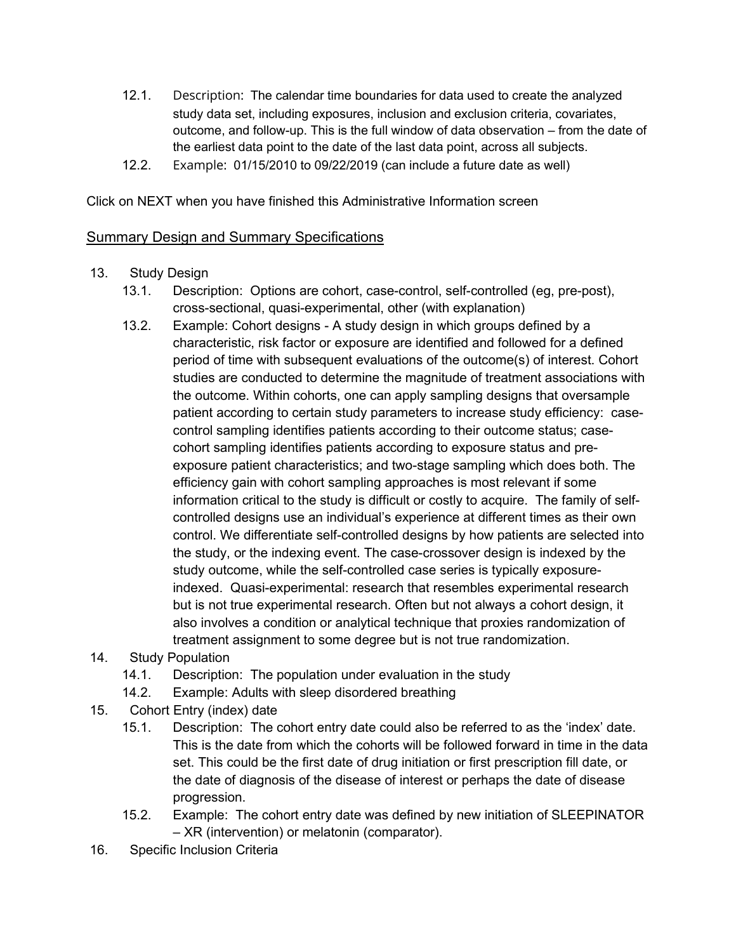- 12.1. Description: The calendar time boundaries for data used to create the analyzed study data set, including exposures, inclusion and exclusion criteria, covariates, outcome, and follow-up. This is the full window of data observation – from the date of the earliest data point to the date of the last data point, across all subjects.
- 12.2. Example: 01/15/2010 to 09/22/2019 (can include a future date as well)

Click on NEXT when you have finished this Administrative Information screen

#### Summary Design and Summary Specifications

- 13. Study Design
	- 13.1. Description: Options are cohort, case-control, self-controlled (eg, pre-post), cross-sectional, quasi-experimental, other (with explanation)
	- 13.2. Example: Cohort designs A study design in which groups defined by a characteristic, risk factor or exposure are identified and followed for a defined period of time with subsequent evaluations of the outcome(s) of interest. Cohort studies are conducted to determine the magnitude of treatment associations with the outcome. Within cohorts, one can apply sampling designs that oversample patient according to certain study parameters to increase study efficiency: casecontrol sampling identifies patients according to their outcome status; casecohort sampling identifies patients according to exposure status and preexposure patient characteristics; and two-stage sampling which does both. The efficiency gain with cohort sampling approaches is most relevant if some information critical to the study is difficult or costly to acquire. The family of selfcontrolled designs use an individual's experience at different times as their own control. We differentiate self-controlled designs by how patients are selected into the study, or the indexing event. The case-crossover design is indexed by the study outcome, while the self-controlled case series is typically exposureindexed. Quasi-experimental: research that resembles experimental research but is not true experimental research. Often but not always a cohort design, it also involves a condition or analytical technique that proxies randomization of treatment assignment to some degree but is not true randomization.
- 14. Study Population
	- 14.1. Description: The population under evaluation in the study
	- 14.2. Example: Adults with sleep disordered breathing
- 15. Cohort Entry (index) date
	- 15.1. Description: The cohort entry date could also be referred to as the 'index' date. This is the date from which the cohorts will be followed forward in time in the data set. This could be the first date of drug initiation or first prescription fill date, or the date of diagnosis of the disease of interest or perhaps the date of disease progression.
	- 15.2. Example: The cohort entry date was defined by new initiation of SLEEPINATOR – XR (intervention) or melatonin (comparator).
- 16. Specific Inclusion Criteria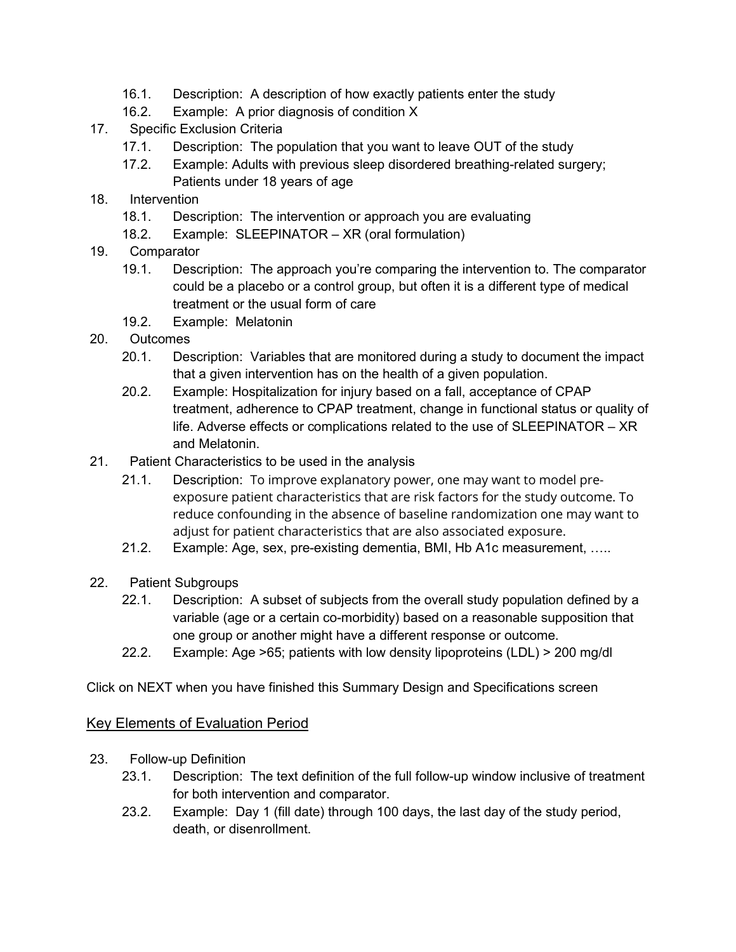- 16.1. Description: A description of how exactly patients enter the study
- 16.2. Example: A prior diagnosis of condition X
- 17. Specific Exclusion Criteria
	- 17.1. Description: The population that you want to leave OUT of the study
	- 17.2. Example: Adults with previous sleep disordered breathing-related surgery; Patients under 18 years of age
- 18. Intervention
	- 18.1. Description: The intervention or approach you are evaluating
	- 18.2. Example: SLEEPINATOR XR (oral formulation)
- 19. Comparator
	- 19.1. Description: The approach you're comparing the intervention to. The comparator could be a placebo or a control group, but often it is a different type of medical treatment or the usual form of care
	- 19.2. Example: Melatonin
- 20. Outcomes
	- 20.1. Description: Variables that are monitored during a study to document the impact that a given intervention has on the health of a given population.
	- 20.2. Example: Hospitalization for injury based on a fall, acceptance of CPAP treatment, adherence to CPAP treatment, change in functional status or quality of life. Adverse effects or complications related to the use of SLEEPINATOR – XR and Melatonin.
- 21. Patient Characteristics to be used in the analysis
	- 21.1. Description: To improve explanatory power, one may want to model preexposure patient characteristics that are risk factors for the study outcome. To reduce confounding in the absence of baseline randomization one may want to adjust for patient characteristics that are also associated exposure.
	- 21.2. Example: Age, sex, pre-existing dementia, BMI, Hb A1c measurement, …..
- 22. Patient Subgroups
	- 22.1. Description: A subset of subjects from the overall study population defined by a variable (age or a certain co-morbidity) based on a reasonable supposition that one group or another might have a different response or outcome.
	- 22.2. Example: Age >65; patients with low density lipoproteins (LDL) > 200 mg/dl

Click on NEXT when you have finished this Summary Design and Specifications screen

## Key Elements of Evaluation Period

- 23. Follow-up Definition
	- 23.1. Description: The text definition of the full follow-up window inclusive of treatment for both intervention and comparator.
	- 23.2. Example: Day 1 (fill date) through 100 days, the last day of the study period, death, or disenrollment.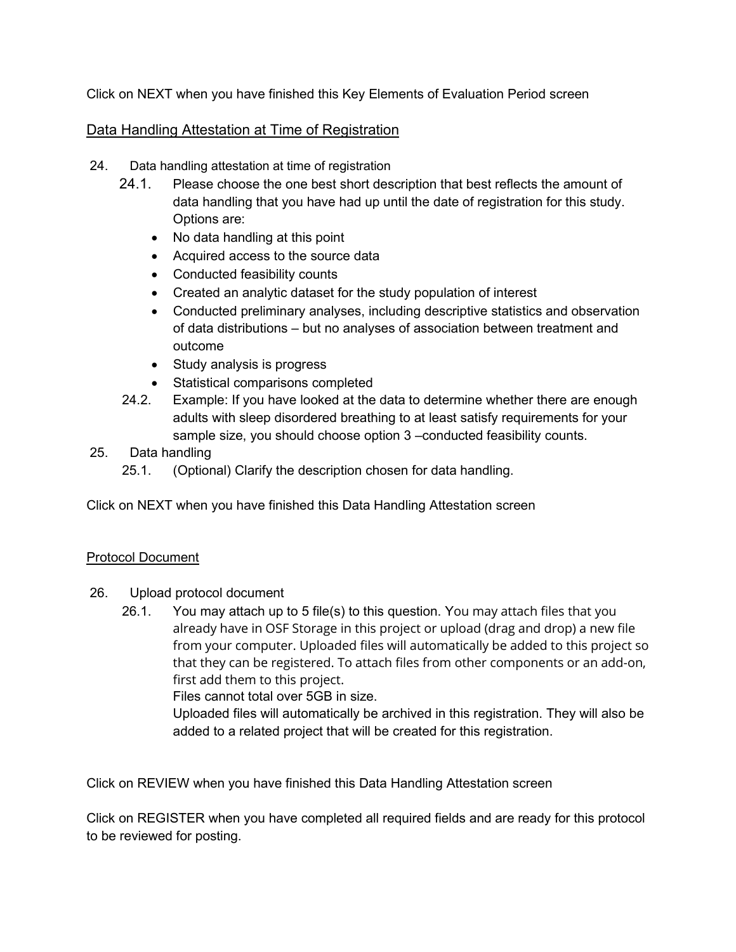Click on NEXT when you have finished this Key Elements of Evaluation Period screen

# Data Handling Attestation at Time of Registration

- 24. Data handling attestation at time of registration
	- 24.1. Please choose the one best short description that best reflects the amount of data handling that you have had up until the date of registration for this study. Options are:
		- No data handling at this point
		- Acquired access to the source data
		- Conducted feasibility counts
		- Created an analytic dataset for the study population of interest
		- Conducted preliminary analyses, including descriptive statistics and observation of data distributions – but no analyses of association between treatment and outcome
		- Study analysis is progress
		- Statistical comparisons completed
	- 24.2. Example: If you have looked at the data to determine whether there are enough adults with sleep disordered breathing to at least satisfy requirements for your sample size, you should choose option 3 –conducted feasibility counts.
- 25. Data handling
	- 25.1. (Optional) Clarify the description chosen for data handling.

Click on NEXT when you have finished this Data Handling Attestation screen

## Protocol Document

- 26. Upload protocol document
	- 26.1. You may attach up to 5 file(s) to this question. You may attach files that you already have in OSF Storage in this project or upload (drag and drop) a new file from your computer. Uploaded files will automatically be added to this project so that they can be registered. To attach files from other components or an add-on, first add them to this project.

Files cannot total over 5GB in size.

Uploaded files will automatically be archived in this registration. They will also be added to a related project that will be created for this registration.

Click on REVIEW when you have finished this Data Handling Attestation screen

Click on REGISTER when you have completed all required fields and are ready for this protocol to be reviewed for posting.